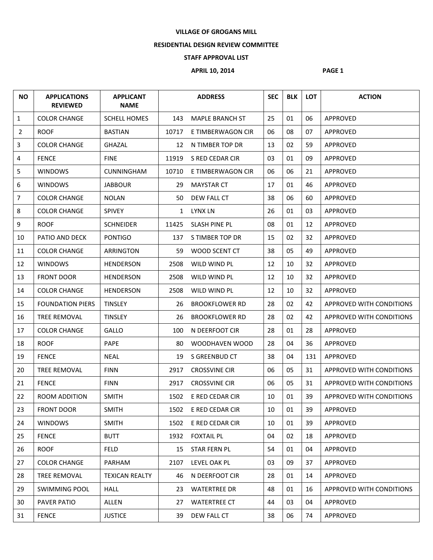## **VILLAGE OF GROGANS MILL**

## **RESIDENTIAL DESIGN REVIEW COMMITTEE**

## **STAFF APPROVAL LIST**

## **APRIL 10, 2014 PAGE 1**

| <b>NO</b>      | <b>APPLICATIONS</b><br><b>REVIEWED</b> | <b>APPLICANT</b><br><b>NAME</b> |              | <b>ADDRESS</b>         | <b>SEC</b> | <b>BLK</b> | <b>LOT</b> | <b>ACTION</b>            |
|----------------|----------------------------------------|---------------------------------|--------------|------------------------|------------|------------|------------|--------------------------|
| $\mathbf{1}$   | <b>COLOR CHANGE</b>                    | <b>SCHELL HOMES</b>             | 143          | <b>MAPLE BRANCH ST</b> | 25         | 01         | 06         | APPROVED                 |
| $\overline{2}$ | <b>ROOF</b>                            | <b>BASTIAN</b>                  | 10717        | E TIMBERWAGON CIR      | 06         | 08         | 07         | APPROVED                 |
| $\overline{3}$ | <b>COLOR CHANGE</b>                    | <b>GHAZAL</b>                   | 12           | N TIMBER TOP DR        | 13         | 02         | 59         | APPROVED                 |
| 4              | <b>FENCE</b>                           | <b>FINE</b>                     | 11919        | S RED CEDAR CIR        | 03         | 01         | 09         | APPROVED                 |
| 5              | <b>WINDOWS</b>                         | <b>CUNNINGHAM</b>               | 10710        | E TIMBERWAGON CIR      | 06         | 06         | 21         | APPROVED                 |
| 6              | <b>WINDOWS</b>                         | <b>JABBOUR</b>                  | 29           | <b>MAYSTAR CT</b>      | 17         | 01         | 46         | APPROVED                 |
| $\overline{7}$ | <b>COLOR CHANGE</b>                    | <b>NOLAN</b>                    | 50           | DEW FALL CT            | 38         | 06         | 60         | APPROVED                 |
| 8              | <b>COLOR CHANGE</b>                    | <b>SPIVEY</b>                   | $\mathbf{1}$ | <b>LYNX LN</b>         | 26         | 01         | 03         | APPROVED                 |
| 9              | <b>ROOF</b>                            | <b>SCHNEIDER</b>                | 11425        | <b>SLASH PINE PL</b>   | 08         | 01         | 12         | APPROVED                 |
| 10             | PATIO AND DECK                         | <b>PONTIGO</b>                  | 137          | S TIMBER TOP DR        | 15         | 02         | 32         | APPROVED                 |
| 11             | <b>COLOR CHANGE</b>                    | ARRINGTON                       | 59           | WOOD SCENT CT          | 38         | 05         | 49         | <b>APPROVED</b>          |
| 12             | <b>WINDOWS</b>                         | HENDERSON                       | 2508         | WILD WIND PL           | 12         | 10         | 32         | APPROVED                 |
| 13             | <b>FRONT DOOR</b>                      | <b>HENDERSON</b>                | 2508         | WILD WIND PL           | 12         | 10         | 32         | <b>APPROVED</b>          |
| 14             | <b>COLOR CHANGE</b>                    | <b>HENDERSON</b>                | 2508         | WILD WIND PL           | 12         | 10         | 32         | APPROVED                 |
| 15             | <b>FOUNDATION PIERS</b>                | <b>TINSLEY</b>                  | 26           | <b>BROOKFLOWER RD</b>  | 28         | 02         | 42         | APPROVED WITH CONDITIONS |
| 16             | <b>TREE REMOVAL</b>                    | <b>TINSLEY</b>                  | 26           | <b>BROOKFLOWER RD</b>  | 28         | 02         | 42         | APPROVED WITH CONDITIONS |
| 17             | <b>COLOR CHANGE</b>                    | GALLO                           | 100          | N DEERFOOT CIR         | 28         | 01         | 28         | APPROVED                 |
| 18             | <b>ROOF</b>                            | PAPE                            | 80           | WOODHAVEN WOOD         | 28         | 04         | 36         | APPROVED                 |
| 19             | <b>FENCE</b>                           | <b>NEAL</b>                     | 19           | S GREENBUD CT          | 38         | 04         | 131        | APPROVED                 |
| 20             | TREE REMOVAL                           | <b>FINN</b>                     | 2917         | <b>CROSSVINE CIR</b>   | 06         | 05         | 31         | APPROVED WITH CONDITIONS |
| 21             | <b>FENCE</b>                           | <b>FINN</b>                     | 2917         | <b>CROSSVINE CIR</b>   | 06         | 05         | 31         | APPROVED WITH CONDITIONS |
| 22             | ROOM ADDITION                          | <b>SMITH</b>                    | 1502         | E RED CEDAR CIR        | 10         | 01         | 39         | APPROVED WITH CONDITIONS |
| 23             | <b>FRONT DOOR</b>                      | <b>SMITH</b>                    | 1502         | E RED CEDAR CIR        | 10         | 01         | 39         | APPROVED                 |
| 24             | <b>WINDOWS</b>                         | <b>SMITH</b>                    | 1502         | E RED CEDAR CIR        | 10         | 01         | 39         | APPROVED                 |
| 25             | <b>FENCE</b>                           | <b>BUTT</b>                     | 1932         | <b>FOXTAIL PL</b>      | 04         | 02         | 18         | APPROVED                 |
| 26             | <b>ROOF</b>                            | <b>FELD</b>                     | 15           | STAR FERN PL           | 54         | 01         | 04         | APPROVED                 |
| 27             | <b>COLOR CHANGE</b>                    | PARHAM                          | 2107         | LEVEL OAK PL           | 03         | 09         | 37         | APPROVED                 |
| 28             | TREE REMOVAL                           | <b>TEXICAN REALTY</b>           | 46           | N DEERFOOT CIR         | 28         | 01         | 14         | APPROVED                 |
| 29             | <b>SWIMMING POOL</b>                   | <b>HALL</b>                     | 23           | <b>WATERTREE DR</b>    | 48         | 01         | 16         | APPROVED WITH CONDITIONS |
| 30             | PAVER PATIO                            | ALLEN                           | 27           | <b>WATERTREE CT</b>    | 44         | 03         | 04         | APPROVED                 |
| 31             | <b>FENCE</b>                           | <b>JUSTICE</b>                  | 39           | DEW FALL CT            | 38         | 06         | 74         | APPROVED                 |